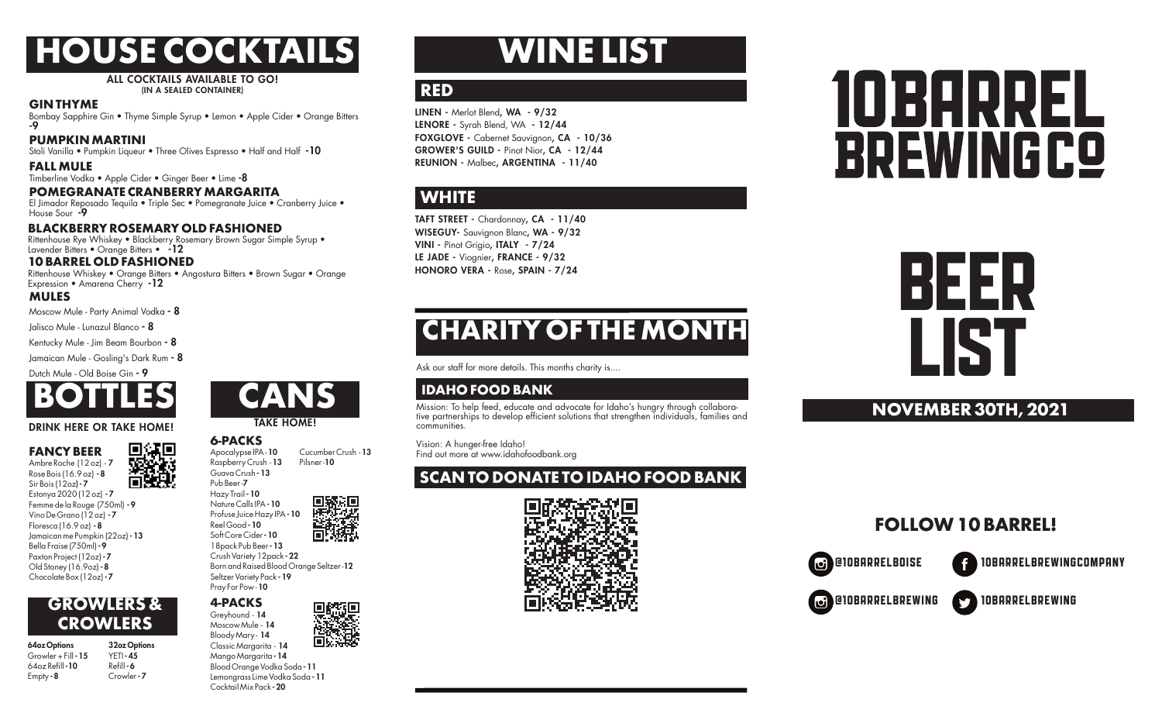# **HOUSE COCKTAILS**

ALL COCKTAILS AVAILABLE TO GO! (IN A SEALED CONTAINER)

#### **GIN THYME**

Bombay Sapphire Gin • Thyme Simple Syrup • Lemon • Apple Cider • Orange Bitters -9

#### **PUMPKIN MARTINI**

Stoli Vanilla • Pumpkin Liqueur • Three Olives Espresso • Half and Half -10

#### **FALL MULE**

Timberline Vodka • Apple Cider • Ginger Beer • Lime -8

#### **POMEGRANATE CRANBERRY MARGARITA**

El Jimador Reposado Tequila • Triple Sec • Pomegranate Juice • Cranberry Juice • House Sour -9

#### **BLACKBERRY ROSEMARY OLD FASHIONED**

Rittenhouse Rye Whiskey • Blackberry Rosemary Brown Sugar Simple Syrup •<br>Lavender Bitters • Orange Bitters • -12

#### **10 BARREL OLD FASHIONED**

Rittenhouse Whiskey • Orange Bitters • Angostura Bitters • Brown Sugar • Orange Expression • Amarena Cherry -12

#### **MULES**

Moscow Mule - Party Animal Vodka - 8

Jalisco Mule - Lunazul Blanco - 8

Kentucky Mule - Jim Beam Bourbon - 8

Jamaican Mule - Gosling's Dark Rum - 8

Dutch Mule - Old Boise Gin - 9



#### DRINK HERE OR TAKE HOME!

回煤回 **FANCY BEER** Ambre Roche (12 oz) - 7 Rose Bois (16.9 oz) - 8 Sir Bois (12oz) - 7 Estonya 2020 (12 oz) - 7

Femme de la Rouge (750ml) - 9 Vino De Grano (12 oz) - 7 Floresca (16.9 oz) - 8 Jamaican me Pumpkin (22oz) - 13 Bella Fraise (750ml) - 9 Paxton Project (12oz) - 7 Old Stoney (16.9oz) - 8 Chocolate Box (12oz) - 7

#### **GROWLERS & CROWLERS**

| 64oz Options            | 32oz Options |
|-------------------------|--------------|
| Growler + Fill - 15     | $YETI - 45$  |
| 64oz Refill <b>- 10</b> | Refill-6     |
| Empty - 8               | Crowler-7    |
|                         |              |



TAKE HOME!

#### **6-PACKS**

Apocalypse IPA - 10 Cucumber Crush - 13<br>Raspberry Crush - 13 Pilsper - 10 Raspberry Crush - 13 Guava Crush - 13 Pub Beer -7 Hazy Trail - 10 Nature Calls IPA - 10

18pack Pub Beer - 13 Crush Variety 12pack - 22 Born and Raised Blood Orange Seltzer -12 Seltzer Variety Pack - 19 Pray For Pow - 10

#### **4-PACKS** Greyhound - 14

Moscow Mule - 14 Bloody Mary - 14

Classic Margarita - 14 Mango Margarita - 14 Blood Orange Vodka Soda - 11 Lemongrass Lime Vodka Soda - 11 Cocktail Mix Pack - 20

# **WINE LIST**

#### **RED**

LINEN - Merlot Blend, WA - 9/32 LENORE - Syrah Blend, WA - 12/44 FOXGLOVE - Cabernet Sauvignon, CA - 10/36 GROWER'S GUILD - Pinot Nior, CA - 12/44 REUNION - Malbec, ARGENTINA - 11/40

### **WHITE**

TAFT STREET - Chardonnay, CA - 11/40 WISEGUY- Sauvignon Blanc, WA - 9/32 VINI - Pinot Grigio, ITALY - 7/24 LE JADE - Viognier, FRANCE - 9/32 HONORO VERA - Rose, SPAIN - 7/24

# **CHARITY OF THE MONTH**

Ask our staff for more details. This months charity is....

#### **IDAHO FOOD BANK**

Mission: To help feed, educate and advocate for Idaho's hungry through collaborative partnerships to develop efficient solutions that strengthen individuals, families and communities.

 Vision: A hunger-free Idaho! Find out more at www.idahofoodbank.org

## **SCAN TO DONATE TO IDAHO FOOD BANK**



# 10B9PREL **BREWINGCO**

# BEER LIST

#### **NOVEMBER 30TH, 2021**

## **FOLLOW 10 BARREL!**

Ю

@10BARRELBOISE 10BARRELBREWINGCOMPANY

@10BARRELBrewing 10BARRELBREWING